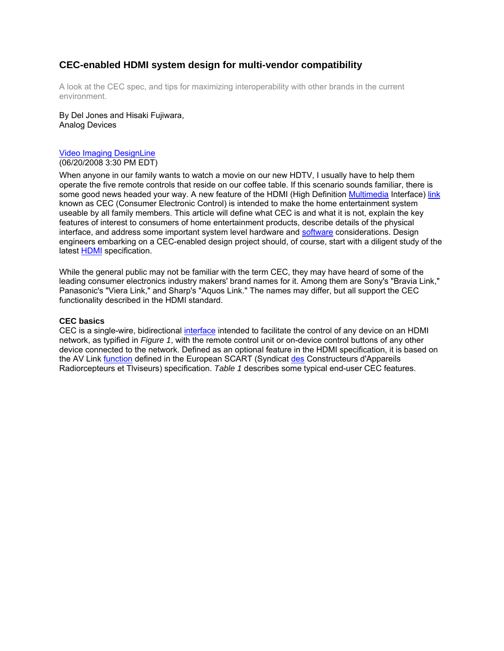# **CEC-enabled HDMI system design for multi-vendor compatibility**

A look at the CEC spec, and tips for maximizing interoperability with other brands in the current environment.

By Del Jones and Hisaki Fujiwara, Analog Devices

#### Video Imaging DesignLine (06/20/2008 3:30 PM EDT)

When anyone in our family wants to watch a movie on our new HDTV, I usually have to help them operate the five remote controls that reside on our coffee table. If this scenario sounds familiar, there is some good news headed your way. A new feature of the HDMI (High Definition Multimedia Interface) link known as CEC (Consumer Electronic Control) is intended to make the home entertainment system useable by all family members. This article will define what CEC is and what it is not, explain the key features of interest to consumers of home entertainment products, describe details of the physical interface, and address some important system level hardware and software considerations. Design engineers embarking on a CEC-enabled design project should, of course, start with a diligent study of the latest HDMI specification.

While the general public may not be familiar with the term CEC, they may have heard of some of the leading consumer electronics industry makers' brand names for it. Among them are Sony's "Bravia Link," Panasonic's "Viera Link," and Sharp's "Aquos Link." The names may differ, but all support the CEC functionality described in the HDMI standard.

# **CEC basics**

CEC is a single-wire, bidirectional interface intended to facilitate the control of any device on an HDMI network, as typified in *Figure 1*, with the remote control unit or on-device control buttons of any other device connected to the network. Defined as an optional feature in the HDMI specification, it is based on the AV Link function defined in the European SCART (Syndicat des Constructeurs d'Appareils Radiorcepteurs et Tlviseurs) specification. *Table 1* describes some typical end-user CEC features.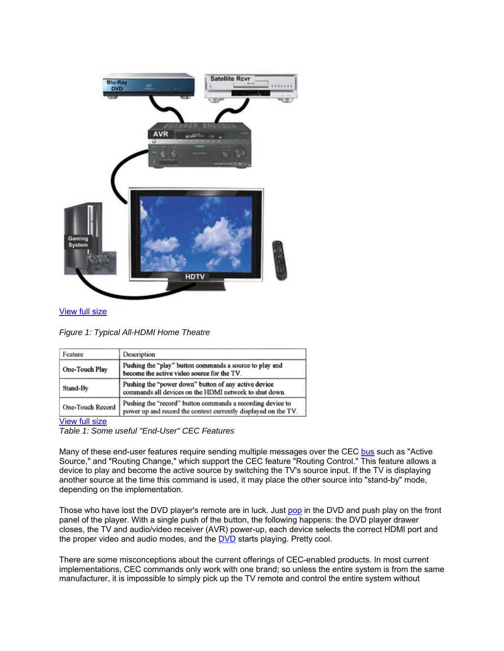

### View full size

*Figure 1: Typical All-HDMI Home Theatre*

| Feature          | Description                                                                                                                  |  |  |  |
|------------------|------------------------------------------------------------------------------------------------------------------------------|--|--|--|
| One-Touch Play   | Pushing the "play" button commands a source to play and<br>become the active video source for the TV.                        |  |  |  |
| Stand-By         | Pushing the "power down" button of any active device<br>commands all devices on the HDMI network to shut down.               |  |  |  |
| One-Touch Record | Pushing the "record" button commands a recording device to<br>power up and record the content currently displayed on the TV. |  |  |  |

#### View full size

*Table 1: Some useful "End-User" CEC Features*

Many of these end-user features require sending multiple messages over the CEC bus such as "Active Source," and "Routing Change," which support the CEC feature "Routing Control." This feature allows a device to play and become the active source by switching the TV's source input. If the TV is displaying another source at the time this command is used, it may place the other source into "stand-by" mode, depending on the implementation.

Those who have lost the DVD player's remote are in luck. Just pop in the DVD and push play on the front panel of the player. With a single push of the button, the following happens: the DVD player drawer closes, the TV and audio/video receiver (AVR) power-up, each device selects the correct HDMI port and the proper video and audio modes, and the DVD starts playing. Pretty cool.

There are some misconceptions about the current offerings of CEC-enabled products. In most current implementations, CEC commands only work with one brand; so unless the entire system is from the same manufacturer, it is impossible to simply pick up the TV remote and control the entire system without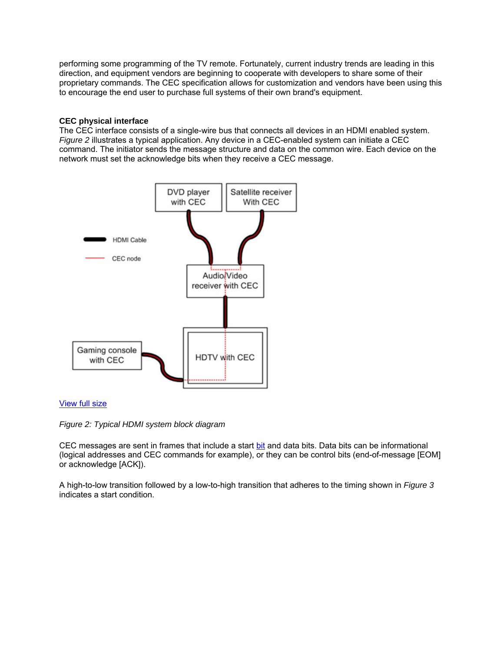performing some programming of the TV remote. Fortunately, current industry trends are leading in this direction, and equipment vendors are beginning to cooperate with developers to share some of their proprietary commands. The CEC specification allows for customization and vendors have been using this to encourage the end user to purchase full systems of their own brand's equipment.

### **CEC physical interface**

The CEC interface consists of a single-wire bus that connects all devices in an HDMI enabled system. *Figure 2* illustrates a typical application. Any device in a CEC-enabled system can initiate a CEC command. The initiator sends the message structure and data on the common wire. Each device on the network must set the acknowledge bits when they receive a CEC message.



### View full size

*Figure 2: Typical HDMI system block diagram*

CEC messages are sent in frames that include a start bit and data bits. Data bits can be informational (logical addresses and CEC commands for example), or they can be control bits (end-of-message [EOM] or acknowledge [ACK]).

A high-to-low transition followed by a low-to-high transition that adheres to the timing shown in *Figure 3* indicates a start condition.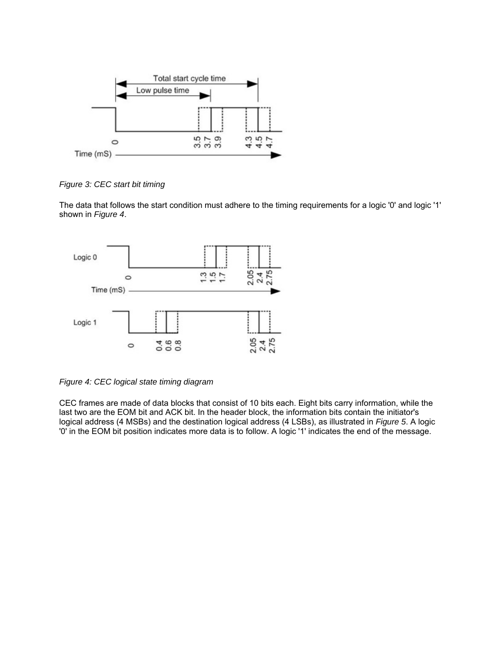

*Figure 3: CEC start bit timing*

The data that follows the start condition must adhere to the timing requirements for a logic '0' and logic '1' shown in *Figure 4*.



*Figure 4: CEC logical state timing diagram*

CEC frames are made of data blocks that consist of 10 bits each. Eight bits carry information, while the last two are the EOM bit and ACK bit. In the header block, the information bits contain the initiator's logical address (4 MSBs) and the destination logical address (4 LSBs), as illustrated in *Figure 5*. A logic '0' in the EOM bit position indicates more data is to follow. A logic '1' indicates the end of the message.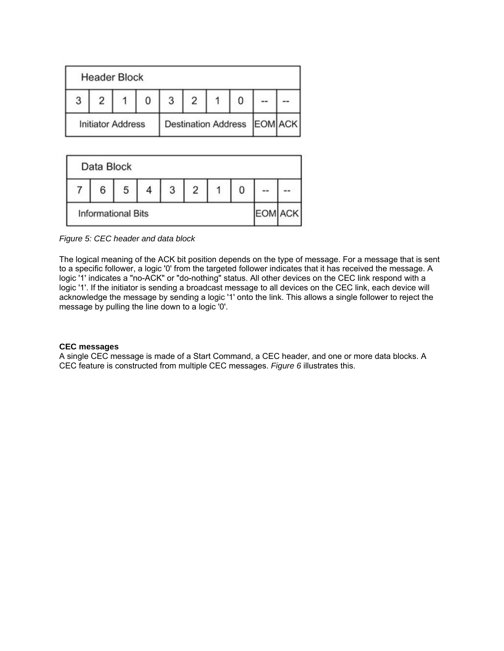| <b>Header Block</b>      |  |  |  |  |                             |  |
|--------------------------|--|--|--|--|-----------------------------|--|
|                          |  |  |  |  |                             |  |
| <b>Initiator Address</b> |  |  |  |  | Destination Address EOM ACK |  |



*Figure 5: CEC header and data block*

The logical meaning of the ACK bit position depends on the type of message. For a message that is sent to a specific follower, a logic '0' from the targeted follower indicates that it has received the message. A logic '1' indicates a "no-ACK" or "do-nothing" status. All other devices on the CEC link respond with a logic '1'. If the initiator is sending a broadcast message to all devices on the CEC link, each device will acknowledge the message by sending a logic '1' onto the link. This allows a single follower to reject the message by pulling the line down to a logic '0'.

### **CEC messages**

A single CEC message is made of a Start Command, a CEC header, and one or more data blocks. A CEC feature is constructed from multiple CEC messages. *Figure 6* illustrates this.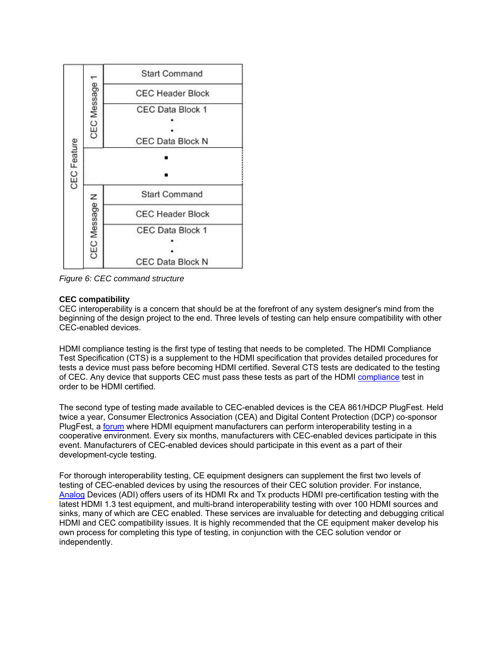

*Figure 6: CEC command structure*

# **CEC compatibility**

CEC interoperability is a concern that should be at the forefront of any system designer's mind from the beginning of the design project to the end. Three levels of testing can help ensure compatibility with other CEC-enabled devices.

HDMI compliance testing is the first type of testing that needs to be completed. The HDMI Compliance Test Specification (CTS) is a supplement to the HDMI specification that provides detailed procedures for tests a device must pass before becoming HDMI certified. Several CTS tests are dedicated to the testing of CEC. Any device that supports CEC must pass these tests as part of the HDMI compliance test in order to be HDMI certified.

The second type of testing made available to CEC-enabled devices is the CEA 861/HDCP PlugFest. Held twice a year, Consumer Electronics Association (CEA) and Digital Content Protection (DCP) co-sponsor PlugFest, a forum where HDMI equipment manufacturers can perform interoperability testing in a cooperative environment. Every six months, manufacturers with CEC-enabled devices participate in this event. Manufacturers of CEC-enabled devices should participate in this event as a part of their development-cycle testing.

For thorough interoperability testing, CE equipment designers can supplement the first two levels of testing of CEC-enabled devices by using the resources of their CEC solution provider. For instance, Analog Devices (ADI) offers users of its HDMI Rx and Tx products HDMI pre-certification testing with the latest HDMI 1.3 test equipment, and multi-brand interoperability testing with over 100 HDMI sources and sinks, many of which are CEC enabled. These services are invaluable for detecting and debugging critical HDMI and CEC compatibility issues. It is highly recommended that the CE equipment maker develop his own process for completing this type of testing, in conjunction with the CEC solution vendor or independently.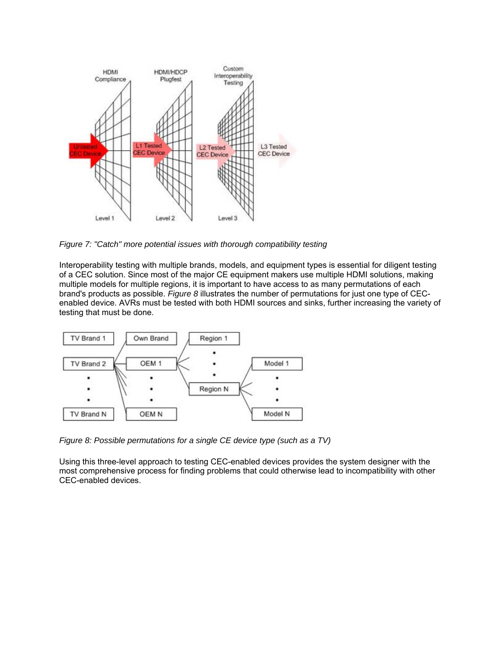

*Figure 7: "Catch" more potential issues with thorough compatibility testing*

Interoperability testing with multiple brands, models, and equipment types is essential for diligent testing of a CEC solution. Since most of the major CE equipment makers use multiple HDMI solutions, making multiple models for multiple regions, it is important to have access to as many permutations of each brand's products as possible. *Figure 8* illustrates the number of permutations for just one type of CECenabled device. AVRs must be tested with both HDMI sources and sinks, further increasing the variety of testing that must be done.



*Figure 8: Possible permutations for a single CE device type (such as a TV)*

Using this three-level approach to testing CEC-enabled devices provides the system designer with the most comprehensive process for finding problems that could otherwise lead to incompatibility with other CEC-enabled devices.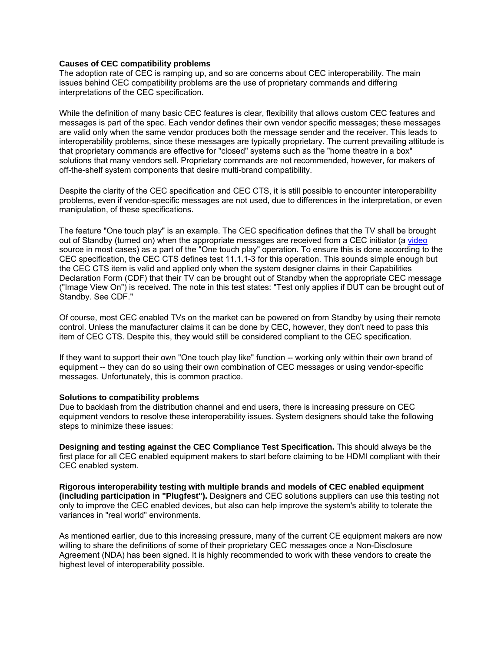#### **Causes of CEC compatibility problems**

The adoption rate of CEC is ramping up, and so are concerns about CEC interoperability. The main issues behind CEC compatibility problems are the use of proprietary commands and differing interpretations of the CEC specification.

While the definition of many basic CEC features is clear, flexibility that allows custom CEC features and messages is part of the spec. Each vendor defines their own vendor specific messages; these messages are valid only when the same vendor produces both the message sender and the receiver. This leads to interoperability problems, since these messages are typically proprietary. The current prevailing attitude is that proprietary commands are effective for "closed" systems such as the "home theatre in a box" solutions that many vendors sell. Proprietary commands are not recommended, however, for makers of off-the-shelf system components that desire multi-brand compatibility.

Despite the clarity of the CEC specification and CEC CTS, it is still possible to encounter interoperability problems, even if vendor-specific messages are not used, due to differences in the interpretation, or even manipulation, of these specifications.

The feature "One touch play" is an example. The CEC specification defines that the TV shall be brought out of Standby (turned on) when the appropriate messages are received from a CEC initiator (a video source in most cases) as a part of the "One touch play" operation. To ensure this is done according to the CEC specification, the CEC CTS defines test 11.1.1-3 for this operation. This sounds simple enough but the CEC CTS item is valid and applied only when the system designer claims in their Capabilities Declaration Form (CDF) that their TV can be brought out of Standby when the appropriate CEC message ("Image View On") is received. The note in this test states: "Test only applies if DUT can be brought out of Standby. See CDF."

Of course, most CEC enabled TVs on the market can be powered on from Standby by using their remote control. Unless the manufacturer claims it can be done by CEC, however, they don't need to pass this item of CEC CTS. Despite this, they would still be considered compliant to the CEC specification.

If they want to support their own "One touch play like" function -- working only within their own brand of equipment -- they can do so using their own combination of CEC messages or using vendor-specific messages. Unfortunately, this is common practice.

#### **Solutions to compatibility problems**

Due to backlash from the distribution channel and end users, there is increasing pressure on CEC equipment vendors to resolve these interoperability issues. System designers should take the following steps to minimize these issues:

**Designing and testing against the CEC Compliance Test Specification.** This should always be the first place for all CEC enabled equipment makers to start before claiming to be HDMI compliant with their CEC enabled system.

**Rigorous interoperability testing with multiple brands and models of CEC enabled equipment (including participation in "Plugfest").** Designers and CEC solutions suppliers can use this testing not only to improve the CEC enabled devices, but also can help improve the system's ability to tolerate the variances in "real world" environments.

As mentioned earlier, due to this increasing pressure, many of the current CE equipment makers are now willing to share the definitions of some of their proprietary CEC messages once a Non-Disclosure Agreement (NDA) has been signed. It is highly recommended to work with these vendors to create the highest level of interoperability possible.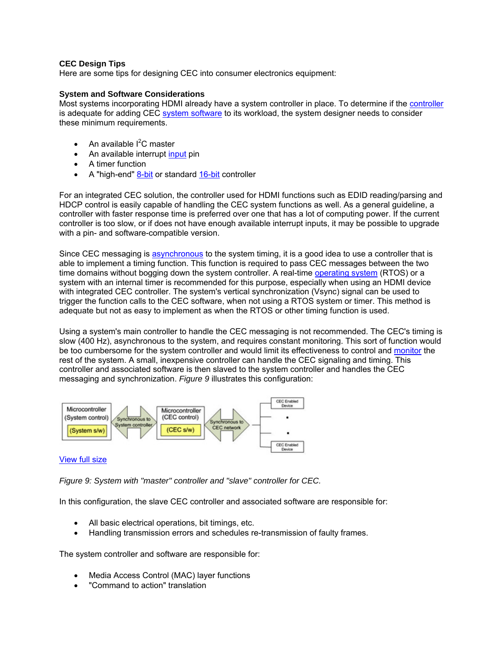# **CEC Design Tips**

Here are some tips for designing CEC into consumer electronics equipment:

# **System and Software Considerations**

Most systems incorporating HDMI already have a system controller in place. To determine if the controller is adequate for adding CEC system software to its workload, the system designer needs to consider these minimum requirements.

- An available  $I^2C$  master
- An available interrupt input pin
- A timer function
- A "high-end" 8-bit or standard 16-bit controller

For an integrated CEC solution, the controller used for HDMI functions such as EDID reading/parsing and HDCP control is easily capable of handling the CEC system functions as well. As a general guideline, a controller with faster response time is preferred over one that has a lot of computing power. If the current controller is too slow, or if does not have enough available interrupt inputs, it may be possible to upgrade with a pin- and software-compatible version.

Since CEC messaging is asynchronous to the system timing, it is a good idea to use a controller that is able to implement a timing function. This function is required to pass CEC messages between the two time domains without bogging down the system controller. A real-time operating system (RTOS) or a system with an internal timer is recommended for this purpose, especially when using an HDMI device with integrated CEC controller. The system's vertical synchronization (Vsync) signal can be used to trigger the function calls to the CEC software, when not using a RTOS system or timer. This method is adequate but not as easy to implement as when the RTOS or other timing function is used.

Using a system's main controller to handle the CEC messaging is not recommended. The CEC's timing is slow (400 Hz), asynchronous to the system, and requires constant monitoring. This sort of function would be too cumbersome for the system controller and would limit its effectiveness to control and monitor the rest of the system. A small, inexpensive controller can handle the CEC signaling and timing. This controller and associated software is then slaved to the system controller and handles the CEC messaging and synchronization. *Figure 9* illustrates this configuration:



### View full size

*Figure 9: System with "master" controller and "slave" controller for CEC.*

In this configuration, the slave CEC controller and associated software are responsible for:

- All basic electrical operations, bit timings, etc.
- Handling transmission errors and schedules re-transmission of faulty frames.

The system controller and software are responsible for:

- Media Access Control (MAC) layer functions
- "Command to action" translation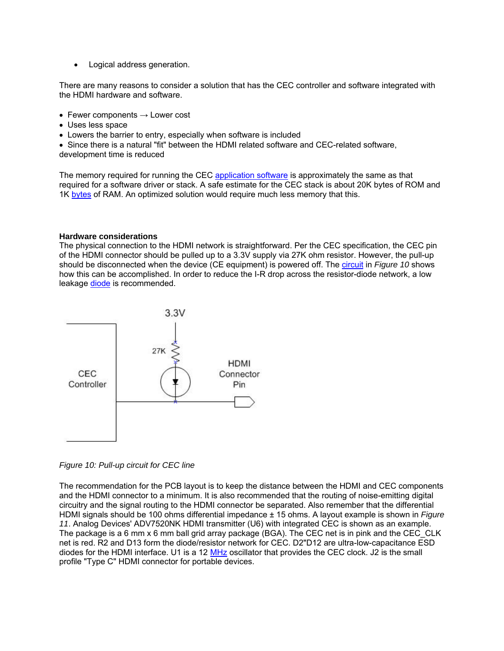• Logical address generation.

There are many reasons to consider a solution that has the CEC controller and software integrated with the HDMI hardware and software.

- Fewer components  $\rightarrow$  Lower cost
- Uses less space
- Lowers the barrier to entry, especially when software is included

• Since there is a natural "fit" between the HDMI related software and CEC-related software, development time is reduced

The memory required for running the CEC application software is approximately the same as that required for a software driver or stack. A safe estimate for the CEC stack is about 20K bytes of ROM and 1K bytes of RAM. An optimized solution would require much less memory that this.

### **Hardware considerations**

The physical connection to the HDMI network is straightforward. Per the CEC specification, the CEC pin of the HDMI connector should be pulled up to a 3.3V supply via 27K ohm resistor. However, the pull-up should be disconnected when the device (CE equipment) is powered off. The circuit in *Figure 10* shows how this can be accomplished. In order to reduce the I-R drop across the resistor-diode network, a low leakage diode is recommended.



*Figure 10: Pull-up circuit for CEC line*

The recommendation for the PCB layout is to keep the distance between the HDMI and CEC components and the HDMI connector to a minimum. It is also recommended that the routing of noise-emitting digital circuitry and the signal routing to the HDMI connector be separated. Also remember that the differential HDMI signals should be 100 ohms differential impedance ± 15 ohms. A layout example is shown in *Figure 11*. Analog Devices' ADV7520NK HDMI transmitter (U6) with integrated CEC is shown as an example. The package is a 6 mm x 6 mm ball grid array package (BGA). The CEC net is in pink and the CEC CLK net is red. R2 and D13 form the diode/resistor network for CEC. D2"D12 are ultra-low-capacitance ESD diodes for the HDMI interface. U1 is a 12 MHz oscillator that provides the CEC clock. J2 is the small profile "Type C" HDMI connector for portable devices.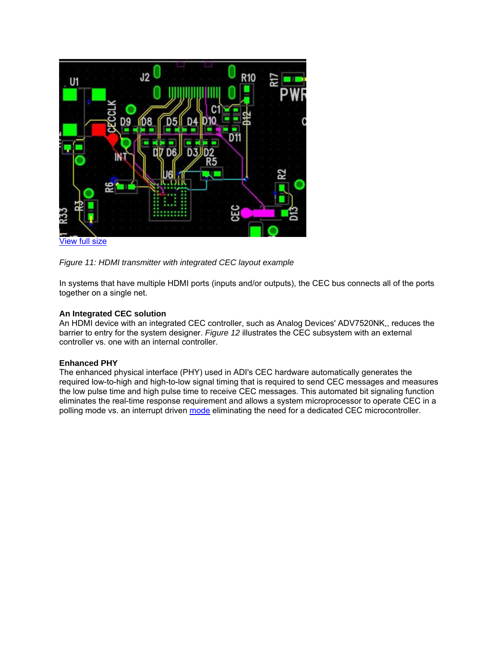

View full size



In systems that have multiple HDMI ports (inputs and/or outputs), the CEC bus connects all of the ports together on a single net.

### **An Integrated CEC solution**

An HDMI device with an integrated CEC controller, such as Analog Devices' ADV7520NK,, reduces the barrier to entry for the system designer. *Figure 12* illustrates the CEC subsystem with an external controller vs. one with an internal controller.

# **Enhanced PHY**

The enhanced physical interface (PHY) used in ADI's CEC hardware automatically generates the required low-to-high and high-to-low signal timing that is required to send CEC messages and measures the low pulse time and high pulse time to receive CEC messages. This automated bit signaling function eliminates the real-time response requirement and allows a system microprocessor to operate CEC in a polling mode vs. an interrupt driven mode eliminating the need for a dedicated CEC microcontroller.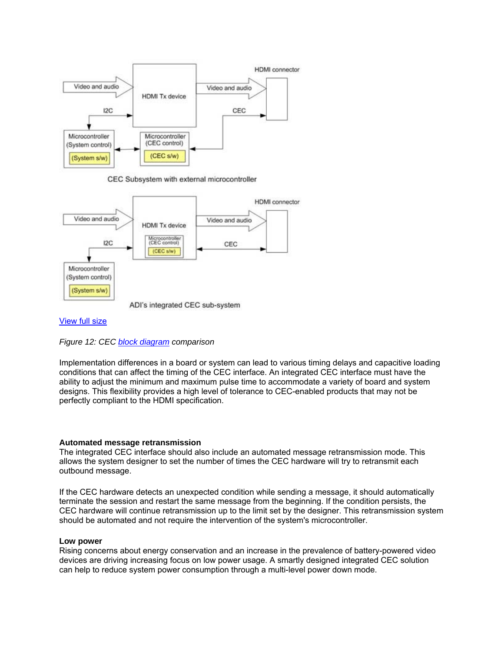

CEC Subsystem with external microcontroller



#### View full size

*Figure 12: CEC block diagram comparison*

Implementation differences in a board or system can lead to various timing delays and capacitive loading conditions that can affect the timing of the CEC interface. An integrated CEC interface must have the ability to adjust the minimum and maximum pulse time to accommodate a variety of board and system designs. This flexibility provides a high level of tolerance to CEC-enabled products that may not be perfectly compliant to the HDMI specification.

#### **Automated message retransmission**

The integrated CEC interface should also include an automated message retransmission mode. This allows the system designer to set the number of times the CEC hardware will try to retransmit each outbound message.

If the CEC hardware detects an unexpected condition while sending a message, it should automatically terminate the session and restart the same message from the beginning. If the condition persists, the CEC hardware will continue retransmission up to the limit set by the designer. This retransmission system should be automated and not require the intervention of the system's microcontroller.

#### **Low power**

Rising concerns about energy conservation and an increase in the prevalence of battery-powered video devices are driving increasing focus on low power usage. A smartly designed integrated CEC solution can help to reduce system power consumption through a multi-level power down mode.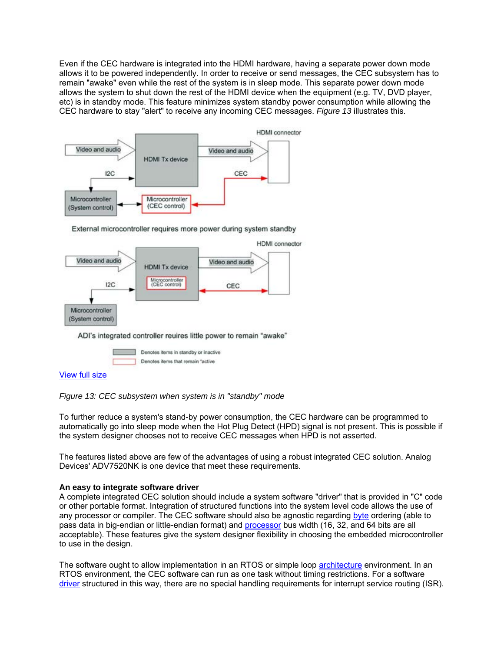Even if the CEC hardware is integrated into the HDMI hardware, having a separate power down mode allows it to be powered independently. In order to receive or send messages, the CEC subsystem has to remain "awake" even while the rest of the system is in sleep mode. This separate power down mode allows the system to shut down the rest of the HDMI device when the equipment (e.g. TV, DVD player, etc) is in standby mode. This feature minimizes system standby power consumption while allowing the CEC hardware to stay "alert" to receive any incoming CEC messages. *Figure 13* illustrates this.



External microcontroller requires more power during system standby



ADI's integrated controller reuires little power to remain "awake"



# View full size

*Figure 13: CEC subsystem when system is in "standby" mode*

To further reduce a system's stand-by power consumption, the CEC hardware can be programmed to automatically go into sleep mode when the Hot Plug Detect (HPD) signal is not present. This is possible if the system designer chooses not to receive CEC messages when HPD is not asserted.

The features listed above are few of the advantages of using a robust integrated CEC solution. Analog Devices' ADV7520NK is one device that meet these requirements.

### **An easy to integrate software driver**

A complete integrated CEC solution should include a system software "driver" that is provided in "C" code or other portable format. Integration of structured functions into the system level code allows the use of any processor or compiler. The CEC software should also be agnostic regarding byte ordering (able to pass data in big-endian or little-endian format) and processor bus width (16, 32, and 64 bits are all acceptable). These features give the system designer flexibility in choosing the embedded microcontroller to use in the design.

The software ought to allow implementation in an RTOS or simple loop **architecture** environment. In an RTOS environment, the CEC software can run as one task without timing restrictions. For a software driver structured in this way, there are no special handling requirements for interrupt service routing (ISR).